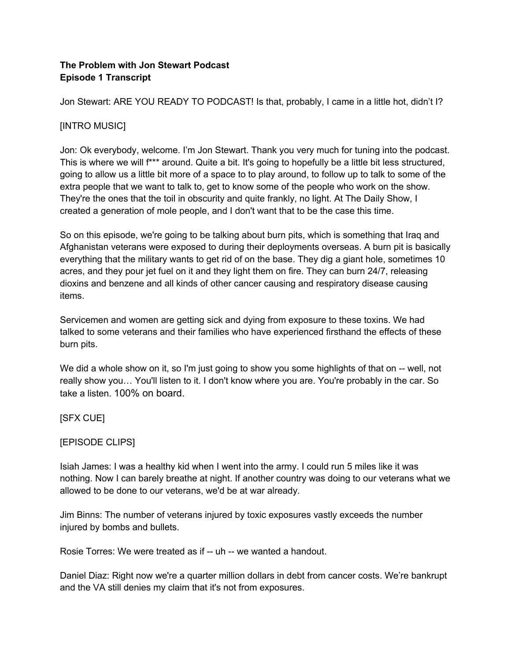## **The Problem with Jon Stewart Podcast Episode 1 Transcript**

Jon Stewart: ARE YOU READY TO PODCAST! Is that, probably, I came in a little hot, didn't I?

# [INTRO MUSIC]

Jon: Ok everybody, welcome. I'm Jon Stewart. Thank you very much for tuning into the podcast. This is where we will f\*\*\* around. Quite a bit. It's going to hopefully be a little bit less structured, going to allow us a little bit more of a space to to play around, to follow up to talk to some of the extra people that we want to talk to, get to know some of the people who work on the show. They're the ones that the toil in obscurity and quite frankly, no light. At The Daily Show, I created a generation of mole people, and I don't want that to be the case this time.

So on this episode, we're going to be talking about burn pits, which is something that Iraq and Afghanistan veterans were exposed to during their deployments overseas. A burn pit is basically everything that the military wants to get rid of on the base. They dig a giant hole, sometimes 10 acres, and they pour jet fuel on it and they light them on fire. They can burn 24/7, releasing dioxins and benzene and all kinds of other cancer causing and respiratory disease causing items.

Servicemen and women are getting sick and dying from exposure to these toxins. We had talked to some veterans and their families who have experienced firsthand the effects of these burn pits.

We did a whole show on it, so I'm just going to show you some highlights of that on -- well, not really show you… You'll listen to it. I don't know where you are. You're probably in the car. So take a listen. 100% on board.

[SFX CUE]

## [EPISODE CLIPS]

Isiah James: I was a healthy kid when I went into the army. I could run 5 miles like it was nothing. Now I can barely breathe at night. If another country was doing to our veterans what we allowed to be done to our veterans, we'd be at war already.

Jim Binns: The number of veterans injured by toxic exposures vastly exceeds the number injured by bombs and bullets.

Rosie Torres: We were treated as if -- uh -- we wanted a handout.

Daniel Diaz: Right now we're a quarter million dollars in debt from cancer costs. We're bankrupt and the VA still denies my claim that it's not from exposures.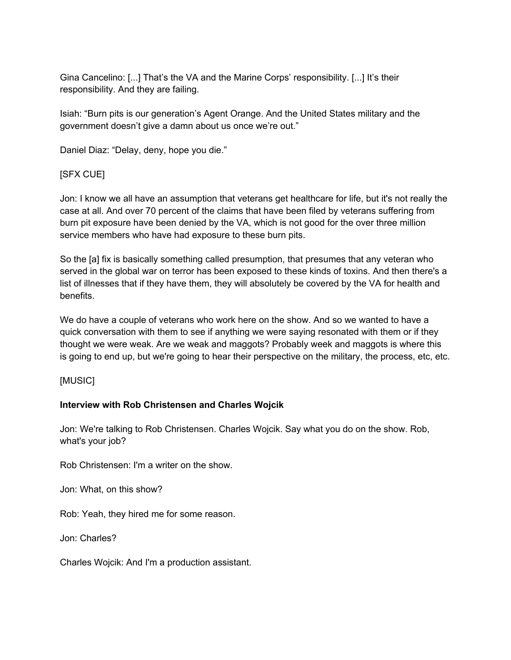Gina Cancelino: [...] That's the VA and the Marine Corps' responsibility. [...] It's their responsibility. And they are failing.

Isiah: "Burn pits is our generation's Agent Orange. And the United States military and the government doesn't give a damn about us once we're out."

Daniel Diaz: "Delay, deny, hope you die."

# [SFX CUE]

Jon: I know we all have an assumption that veterans get healthcare for life, but it's not really the case at all. And over 70 percent of the claims that have been filed by veterans suffering from burn pit exposure have been denied by the VA, which is not good for the over three million service members who have had exposure to these burn pits.

So the [a] fix is basically something called presumption, that presumes that any veteran who served in the global war on terror has been exposed to these kinds of toxins. And then there's a list of illnesses that if they have them, they will absolutely be covered by the VA for health and benefits.

We do have a couple of veterans who work here on the show. And so we wanted to have a quick conversation with them to see if anything we were saying resonated with them or if they thought we were weak. Are we weak and maggots? Probably week and maggots is where this is going to end up, but we're going to hear their perspective on the military, the process, etc, etc.

## [MUSIC]

### **Interview with Rob Christensen and Charles Wojcik**

Jon: We're talking to Rob Christensen. Charles Wojcik. Say what you do on the show. Rob, what's your job?

Rob Christensen: I'm a writer on the show.

Jon: What, on this show?

Rob: Yeah, they hired me for some reason.

Jon: Charles?

Charles Wojcik: And I'm a production assistant.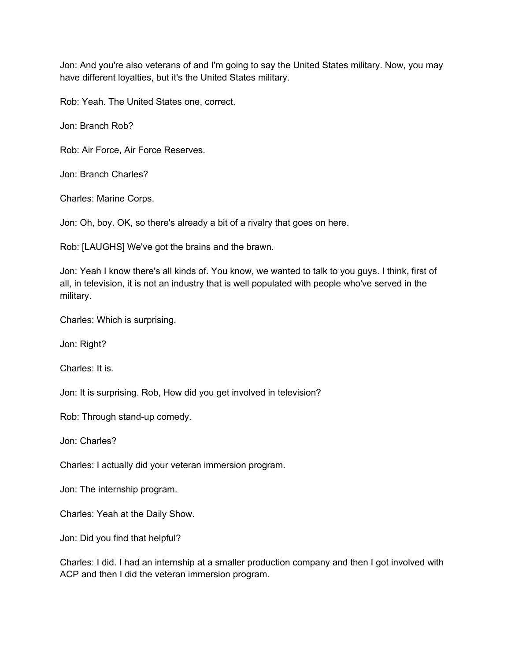Jon: And you're also veterans of and I'm going to say the United States military. Now, you may have different loyalties, but it's the United States military.

Rob: Yeah. The United States one, correct.

Jon: Branch Rob?

Rob: Air Force, Air Force Reserves.

Jon: Branch Charles?

Charles: Marine Corps.

Jon: Oh, boy. OK, so there's already a bit of a rivalry that goes on here.

Rob: [LAUGHS] We've got the brains and the brawn.

Jon: Yeah I know there's all kinds of. You know, we wanted to talk to you guys. I think, first of all, in television, it is not an industry that is well populated with people who've served in the military.

Charles: Which is surprising.

Jon: Right?

Charles: It is.

Jon: It is surprising. Rob, How did you get involved in television?

Rob: Through stand-up comedy.

Jon: Charles?

Charles: I actually did your veteran immersion program.

Jon: The internship program.

Charles: Yeah at the Daily Show.

Jon: Did you find that helpful?

Charles: I did. I had an internship at a smaller production company and then I got involved with ACP and then I did the veteran immersion program.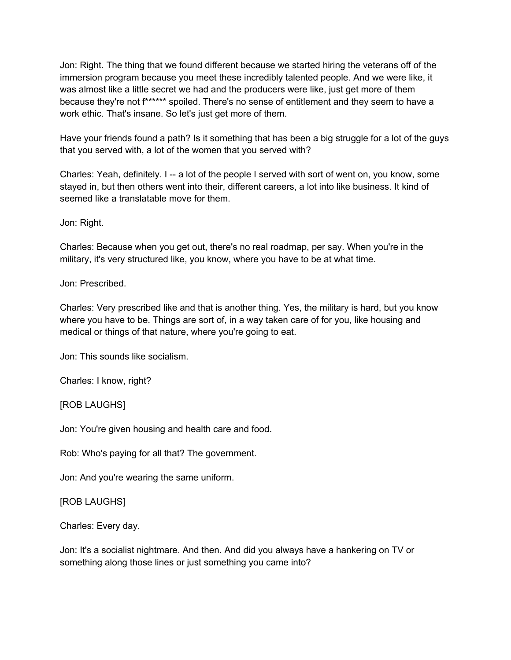Jon: Right. The thing that we found different because we started hiring the veterans off of the immersion program because you meet these incredibly talented people. And we were like, it was almost like a little secret we had and the producers were like, just get more of them because they're not f\*\*\*\*\*\* spoiled. There's no sense of entitlement and they seem to have a work ethic. That's insane. So let's just get more of them.

Have your friends found a path? Is it something that has been a big struggle for a lot of the guys that you served with, a lot of the women that you served with?

Charles: Yeah, definitely. I -- a lot of the people I served with sort of went on, you know, some stayed in, but then others went into their, different careers, a lot into like business. It kind of seemed like a translatable move for them.

Jon: Right.

Charles: Because when you get out, there's no real roadmap, per say. When you're in the military, it's very structured like, you know, where you have to be at what time.

Jon: Prescribed.

Charles: Very prescribed like and that is another thing. Yes, the military is hard, but you know where you have to be. Things are sort of, in a way taken care of for you, like housing and medical or things of that nature, where you're going to eat.

Jon: This sounds like socialism.

Charles: I know, right?

[ROB LAUGHS]

Jon: You're given housing and health care and food.

Rob: Who's paying for all that? The government.

Jon: And you're wearing the same uniform.

[ROB LAUGHS]

Charles: Every day.

Jon: It's a socialist nightmare. And then. And did you always have a hankering on TV or something along those lines or just something you came into?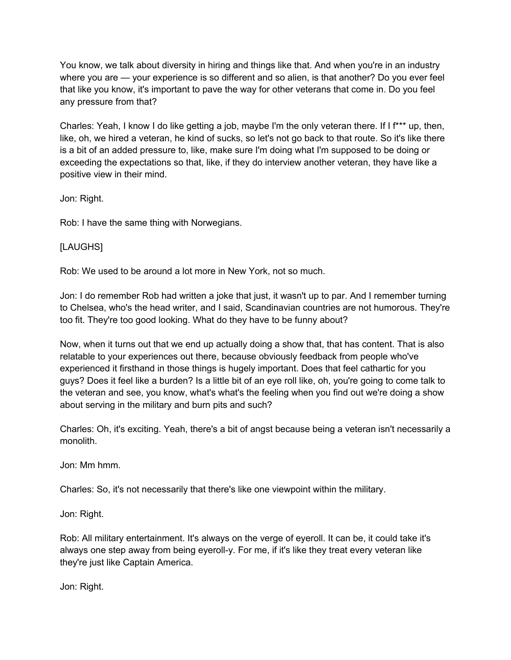You know, we talk about diversity in hiring and things like that. And when you're in an industry where you are — your experience is so different and so alien, is that another? Do you ever feel that like you know, it's important to pave the way for other veterans that come in. Do you feel any pressure from that?

Charles: Yeah, I know I do like getting a job, maybe I'm the only veteran there. If I f\*\*\* up, then, like, oh, we hired a veteran, he kind of sucks, so let's not go back to that route. So it's like there is a bit of an added pressure to, like, make sure I'm doing what I'm supposed to be doing or exceeding the expectations so that, like, if they do interview another veteran, they have like a positive view in their mind.

Jon: Right.

Rob: I have the same thing with Norwegians.

[LAUGHS]

Rob: We used to be around a lot more in New York, not so much.

Jon: I do remember Rob had written a joke that just, it wasn't up to par. And I remember turning to Chelsea, who's the head writer, and I said, Scandinavian countries are not humorous. They're too fit. They're too good looking. What do they have to be funny about?

Now, when it turns out that we end up actually doing a show that, that has content. That is also relatable to your experiences out there, because obviously feedback from people who've experienced it firsthand in those things is hugely important. Does that feel cathartic for you guys? Does it feel like a burden? Is a little bit of an eye roll like, oh, you're going to come talk to the veteran and see, you know, what's what's the feeling when you find out we're doing a show about serving in the military and burn pits and such?

Charles: Oh, it's exciting. Yeah, there's a bit of angst because being a veteran isn't necessarily a monolith.

Jon: Mm hmm.

Charles: So, it's not necessarily that there's like one viewpoint within the military.

Jon: Right.

Rob: All military entertainment. It's always on the verge of eyeroll. It can be, it could take it's always one step away from being eyeroll-y. For me, if it's like they treat every veteran like they're just like Captain America.

Jon: Right.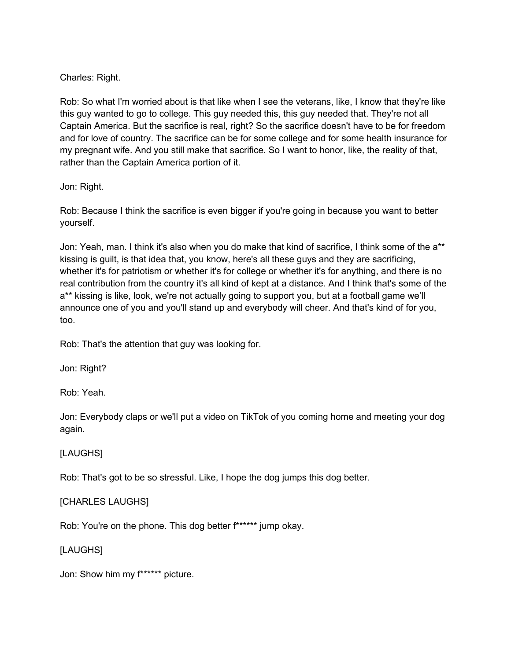## Charles: Right.

Rob: So what I'm worried about is that like when I see the veterans, like, I know that they're like this guy wanted to go to college. This guy needed this, this guy needed that. They're not all Captain America. But the sacrifice is real, right? So the sacrifice doesn't have to be for freedom and for love of country. The sacrifice can be for some college and for some health insurance for my pregnant wife. And you still make that sacrifice. So I want to honor, like, the reality of that, rather than the Captain America portion of it.

### Jon: Right.

Rob: Because I think the sacrifice is even bigger if you're going in because you want to better yourself.

Jon: Yeah, man. I think it's also when you do make that kind of sacrifice, I think some of the a\*\* kissing is guilt, is that idea that, you know, here's all these guys and they are sacrificing, whether it's for patriotism or whether it's for college or whether it's for anything, and there is no real contribution from the country it's all kind of kept at a distance. And I think that's some of the a\*\* kissing is like, look, we're not actually going to support you, but at a football game we'll announce one of you and you'll stand up and everybody will cheer. And that's kind of for you, too.

Rob: That's the attention that guy was looking for.

Jon: Right?

Rob: Yeah.

Jon: Everybody claps or we'll put a video on TikTok of you coming home and meeting your dog again.

### [LAUGHS]

Rob: That's got to be so stressful. Like, I hope the dog jumps this dog better.

## [CHARLES LAUGHS]

Rob: You're on the phone. This dog better f\*\*\*\*\*\* jump okay.

## [LAUGHS]

Jon: Show him my f\*\*\*\*\*\* picture.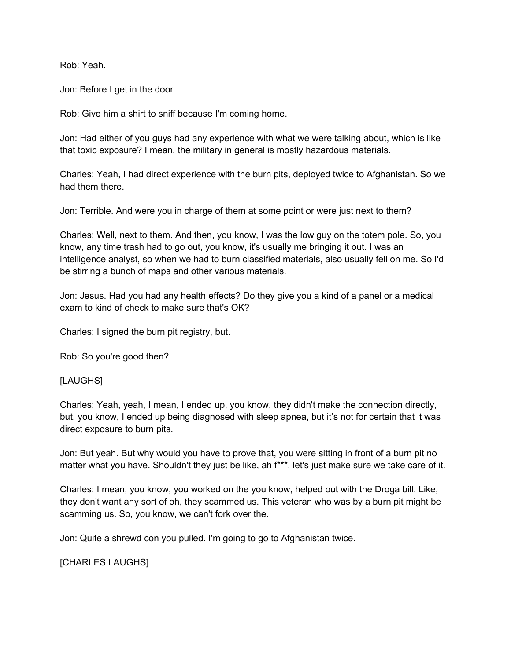Rob: Yeah.

Jon: Before I get in the door

Rob: Give him a shirt to sniff because I'm coming home.

Jon: Had either of you guys had any experience with what we were talking about, which is like that toxic exposure? I mean, the military in general is mostly hazardous materials.

Charles: Yeah, I had direct experience with the burn pits, deployed twice to Afghanistan. So we had them there.

Jon: Terrible. And were you in charge of them at some point or were just next to them?

Charles: Well, next to them. And then, you know, I was the low guy on the totem pole. So, you know, any time trash had to go out, you know, it's usually me bringing it out. I was an intelligence analyst, so when we had to burn classified materials, also usually fell on me. So I'd be stirring a bunch of maps and other various materials.

Jon: Jesus. Had you had any health effects? Do they give you a kind of a panel or a medical exam to kind of check to make sure that's OK?

Charles: I signed the burn pit registry, but.

Rob: So you're good then?

### [LAUGHS]

Charles: Yeah, yeah, I mean, I ended up, you know, they didn't make the connection directly, but, you know, I ended up being diagnosed with sleep apnea, but it's not for certain that it was direct exposure to burn pits.

Jon: But yeah. But why would you have to prove that, you were sitting in front of a burn pit no matter what you have. Shouldn't they just be like, ah f\*\*\*, let's just make sure we take care of it.

Charles: I mean, you know, you worked on the you know, helped out with the Droga bill. Like, they don't want any sort of oh, they scammed us. This veteran who was by a burn pit might be scamming us. So, you know, we can't fork over the.

Jon: Quite a shrewd con you pulled. I'm going to go to Afghanistan twice.

[CHARLES LAUGHS]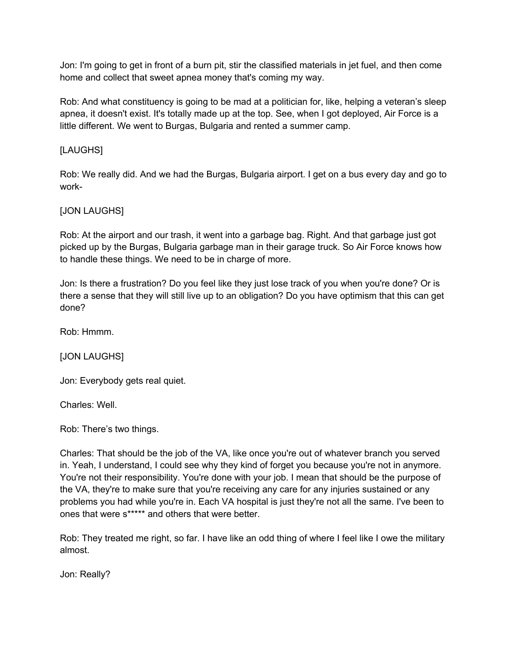Jon: I'm going to get in front of a burn pit, stir the classified materials in jet fuel, and then come home and collect that sweet apnea money that's coming my way.

Rob: And what constituency is going to be mad at a politician for, like, helping a veteran's sleep apnea, it doesn't exist. It's totally made up at the top. See, when I got deployed, Air Force is a little different. We went to Burgas, Bulgaria and rented a summer camp.

## [LAUGHS]

Rob: We really did. And we had the Burgas, Bulgaria airport. I get on a bus every day and go to work-

## [JON LAUGHS]

Rob: At the airport and our trash, it went into a garbage bag. Right. And that garbage just got picked up by the Burgas, Bulgaria garbage man in their garage truck. So Air Force knows how to handle these things. We need to be in charge of more.

Jon: Is there a frustration? Do you feel like they just lose track of you when you're done? Or is there a sense that they will still live up to an obligation? Do you have optimism that this can get done?

Rob: Hmmm.

[JON LAUGHS]

Jon: Everybody gets real quiet.

Charles: Well.

Rob: There's two things.

Charles: That should be the job of the VA, like once you're out of whatever branch you served in. Yeah, I understand, I could see why they kind of forget you because you're not in anymore. You're not their responsibility. You're done with your job. I mean that should be the purpose of the VA, they're to make sure that you're receiving any care for any injuries sustained or any problems you had while you're in. Each VA hospital is just they're not all the same. I've been to ones that were s\*\*\*\*\* and others that were better.

Rob: They treated me right, so far. I have like an odd thing of where I feel like I owe the military almost.

Jon: Really?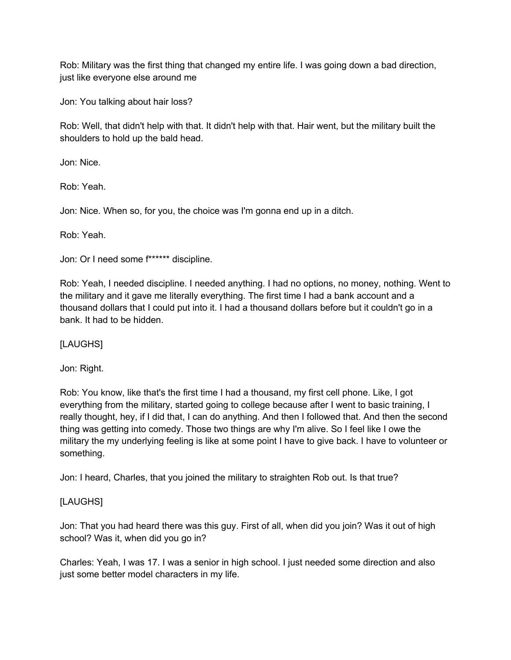Rob: Military was the first thing that changed my entire life. I was going down a bad direction, just like everyone else around me

Jon: You talking about hair loss?

Rob: Well, that didn't help with that. It didn't help with that. Hair went, but the military built the shoulders to hold up the bald head.

Jon: Nice.

Rob: Yeah.

Jon: Nice. When so, for you, the choice was I'm gonna end up in a ditch.

Rob: Yeah.

Jon: Or I need some f\*\*\*\*\*\* discipline.

Rob: Yeah, I needed discipline. I needed anything. I had no options, no money, nothing. Went to the military and it gave me literally everything. The first time I had a bank account and a thousand dollars that I could put into it. I had a thousand dollars before but it couldn't go in a bank. It had to be hidden.

[LAUGHS]

Jon: Right.

Rob: You know, like that's the first time I had a thousand, my first cell phone. Like, I got everything from the military, started going to college because after I went to basic training, I really thought, hey, if I did that, I can do anything. And then I followed that. And then the second thing was getting into comedy. Those two things are why I'm alive. So I feel like I owe the military the my underlying feeling is like at some point I have to give back. I have to volunteer or something.

Jon: I heard, Charles, that you joined the military to straighten Rob out. Is that true?

## [LAUGHS]

Jon: That you had heard there was this guy. First of all, when did you join? Was it out of high school? Was it, when did you go in?

Charles: Yeah, I was 17. I was a senior in high school. I just needed some direction and also just some better model characters in my life.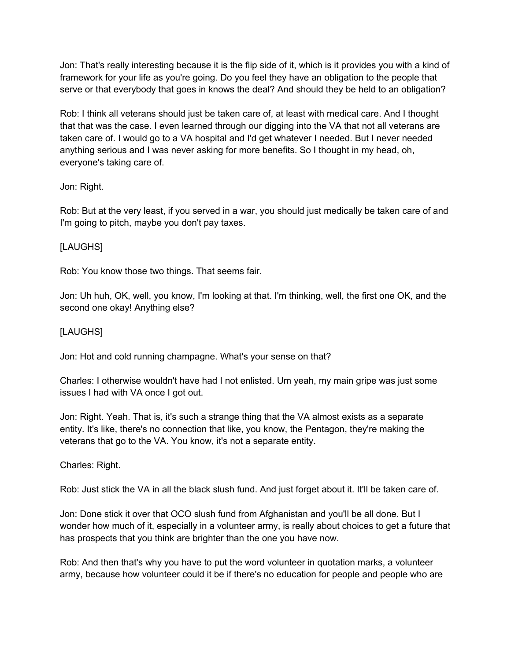Jon: That's really interesting because it is the flip side of it, which is it provides you with a kind of framework for your life as you're going. Do you feel they have an obligation to the people that serve or that everybody that goes in knows the deal? And should they be held to an obligation?

Rob: I think all veterans should just be taken care of, at least with medical care. And I thought that that was the case. I even learned through our digging into the VA that not all veterans are taken care of. I would go to a VA hospital and I'd get whatever I needed. But I never needed anything serious and I was never asking for more benefits. So I thought in my head, oh, everyone's taking care of.

## Jon: Right.

Rob: But at the very least, if you served in a war, you should just medically be taken care of and I'm going to pitch, maybe you don't pay taxes.

### [LAUGHS]

Rob: You know those two things. That seems fair.

Jon: Uh huh, OK, well, you know, I'm looking at that. I'm thinking, well, the first one OK, and the second one okay! Anything else?

## [LAUGHS]

Jon: Hot and cold running champagne. What's your sense on that?

Charles: I otherwise wouldn't have had I not enlisted. Um yeah, my main gripe was just some issues I had with VA once I got out.

Jon: Right. Yeah. That is, it's such a strange thing that the VA almost exists as a separate entity. It's like, there's no connection that like, you know, the Pentagon, they're making the veterans that go to the VA. You know, it's not a separate entity.

### Charles: Right.

Rob: Just stick the VA in all the black slush fund. And just forget about it. It'll be taken care of.

Jon: Done stick it over that OCO slush fund from Afghanistan and you'll be all done. But I wonder how much of it, especially in a volunteer army, is really about choices to get a future that has prospects that you think are brighter than the one you have now.

Rob: And then that's why you have to put the word volunteer in quotation marks, a volunteer army, because how volunteer could it be if there's no education for people and people who are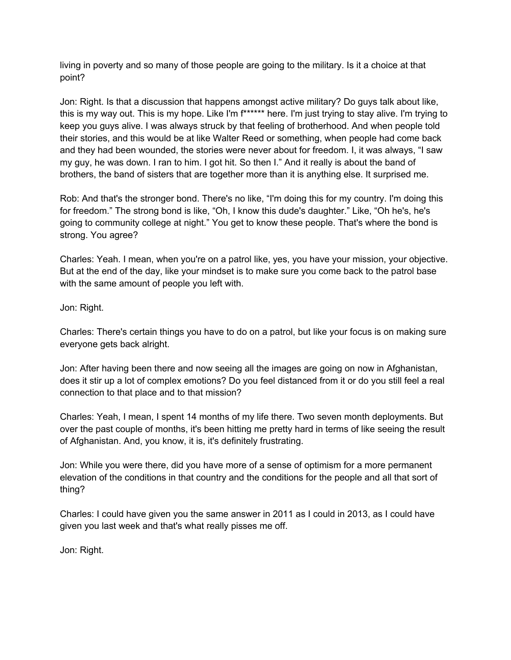living in poverty and so many of those people are going to the military. Is it a choice at that point?

Jon: Right. Is that a discussion that happens amongst active military? Do guys talk about like, this is my way out. This is my hope. Like I'm f\*\*\*\*\*\* here. I'm just trying to stay alive. I'm trying to keep you guys alive. I was always struck by that feeling of brotherhood. And when people told their stories, and this would be at like Walter Reed or something, when people had come back and they had been wounded, the stories were never about for freedom. I, it was always, "I saw my guy, he was down. I ran to him. I got hit. So then I." And it really is about the band of brothers, the band of sisters that are together more than it is anything else. It surprised me.

Rob: And that's the stronger bond. There's no like, "I'm doing this for my country. I'm doing this for freedom." The strong bond is like, "Oh, I know this dude's daughter." Like, "Oh he's, he's going to community college at night." You get to know these people. That's where the bond is strong. You agree?

Charles: Yeah. I mean, when you're on a patrol like, yes, you have your mission, your objective. But at the end of the day, like your mindset is to make sure you come back to the patrol base with the same amount of people you left with.

Jon: Right.

Charles: There's certain things you have to do on a patrol, but like your focus is on making sure everyone gets back alright.

Jon: After having been there and now seeing all the images are going on now in Afghanistan, does it stir up a lot of complex emotions? Do you feel distanced from it or do you still feel a real connection to that place and to that mission?

Charles: Yeah, I mean, I spent 14 months of my life there. Two seven month deployments. But over the past couple of months, it's been hitting me pretty hard in terms of like seeing the result of Afghanistan. And, you know, it is, it's definitely frustrating.

Jon: While you were there, did you have more of a sense of optimism for a more permanent elevation of the conditions in that country and the conditions for the people and all that sort of thing?

Charles: I could have given you the same answer in 2011 as I could in 2013, as I could have given you last week and that's what really pisses me off.

Jon: Right.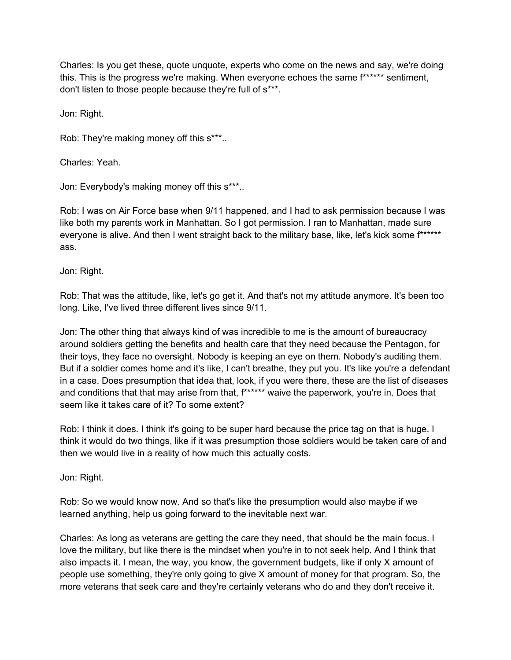Charles: Is you get these, quote unquote, experts who come on the news and say, we're doing this. This is the progress we're making. When everyone echoes the same f\*\*\*\*\*\* sentiment, don't listen to those people because they're full of s\*\*\*.

Jon: Right.

Rob: They're making money off this s\*\*\*..

Charles: Yeah.

Jon: Everybody's making money off this s\*\*\*..

Rob: I was on Air Force base when 9/11 happened, and I had to ask permission because I was like both my parents work in Manhattan. So I got permission. I ran to Manhattan, made sure everyone is alive. And then I went straight back to the military base, like, let's kick some f\*\*\*\*\*\* ass.

Jon: Right.

Rob: That was the attitude, like, let's go get it. And that's not my attitude anymore. It's been too long. Like, I've lived three different lives since 9/11.

Jon: The other thing that always kind of was incredible to me is the amount of bureaucracy around soldiers getting the benefits and health care that they need because the Pentagon, for their toys, they face no oversight. Nobody is keeping an eye on them. Nobody's auditing them. But if a soldier comes home and it's like, I can't breathe, they put you. It's like you're a defendant in a case. Does presumption that idea that, look, if you were there, these are the list of diseases and conditions that that may arise from that,  $f*****$  waive the paperwork, you're in. Does that seem like it takes care of it? To some extent?

Rob: I think it does. I think it's going to be super hard because the price tag on that is huge. I think it would do two things, like if it was presumption those soldiers would be taken care of and then we would live in a reality of how much this actually costs.

Jon: Right.

Rob: So we would know now. And so that's like the presumption would also maybe if we learned anything, help us going forward to the inevitable next war.

Charles: As long as veterans are getting the care they need, that should be the main focus. I love the military, but like there is the mindset when you're in to not seek help. And I think that also impacts it. I mean, the way, you know, the government budgets, like if only X amount of people use something, they're only going to give X amount of money for that program. So, the more veterans that seek care and they're certainly veterans who do and they don't receive it.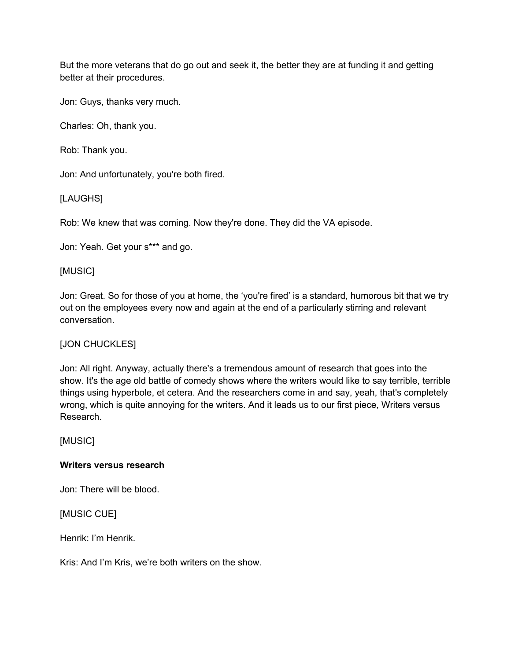But the more veterans that do go out and seek it, the better they are at funding it and getting better at their procedures.

Jon: Guys, thanks very much.

Charles: Oh, thank you.

Rob: Thank you.

Jon: And unfortunately, you're both fired.

[LAUGHS]

Rob: We knew that was coming. Now they're done. They did the VA episode.

Jon: Yeah. Get your s\*\*\* and go.

#### [MUSIC]

Jon: Great. So for those of you at home, the 'you're fired' is a standard, humorous bit that we try out on the employees every now and again at the end of a particularly stirring and relevant conversation.

### [JON CHUCKLES]

Jon: All right. Anyway, actually there's a tremendous amount of research that goes into the show. It's the age old battle of comedy shows where the writers would like to say terrible, terrible things using hyperbole, et cetera. And the researchers come in and say, yeah, that's completely wrong, which is quite annoying for the writers. And it leads us to our first piece, Writers versus Research.

[MUSIC]

#### **Writers versus research**

Jon: There will be blood.

[MUSIC CUE]

Henrik: I'm Henrik.

Kris: And I'm Kris, we're both writers on the show.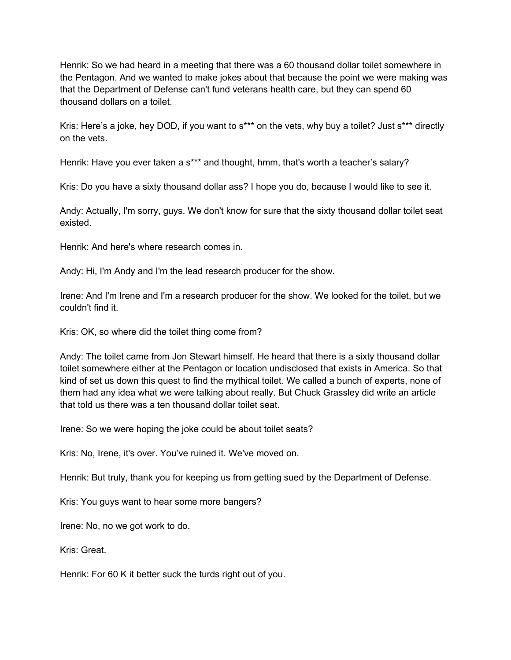Henrik: So we had heard in a meeting that there was a 60 thousand dollar toilet somewhere in the Pentagon. And we wanted to make jokes about that because the point we were making was that the Department of Defense can't fund veterans health care, but they can spend 60 thousand dollars on a toilet.

Kris: Here's a joke, hey DOD, if you want to s\*\*\* on the vets, why buy a toilet? Just s\*\*\* directly on the vets.

Henrik: Have you ever taken a s\*\*\* and thought, hmm, that's worth a teacher's salary?

Kris: Do you have a sixty thousand dollar ass? I hope you do, because I would like to see it.

Andy: Actually, I'm sorry, guys. We don't know for sure that the sixty thousand dollar toilet seat existed.

Henrik: And here's where research comes in.

Andy: Hi, I'm Andy and I'm the lead research producer for the show.

Irene: And I'm Irene and I'm a research producer for the show. We looked for the toilet, but we couldn't find it.

Kris: OK, so where did the toilet thing come from?

Andy: The toilet came from Jon Stewart himself. He heard that there is a sixty thousand dollar toilet somewhere either at the Pentagon or location undisclosed that exists in America. So that kind of set us down this quest to find the mythical toilet. We called a bunch of experts, none of them had any idea what we were talking about really. But Chuck Grassley did write an article that told us there was a ten thousand dollar toilet seat.

Irene: So we were hoping the joke could be about toilet seats?

Kris: No, Irene, it's over. You've ruined it. We've moved on.

Henrik: But truly, thank you for keeping us from getting sued by the Department of Defense.

Kris: You guys want to hear some more bangers?

Irene: No, no we got work to do.

Kris: Great.

Henrik: For 60 K it better suck the turds right out of you.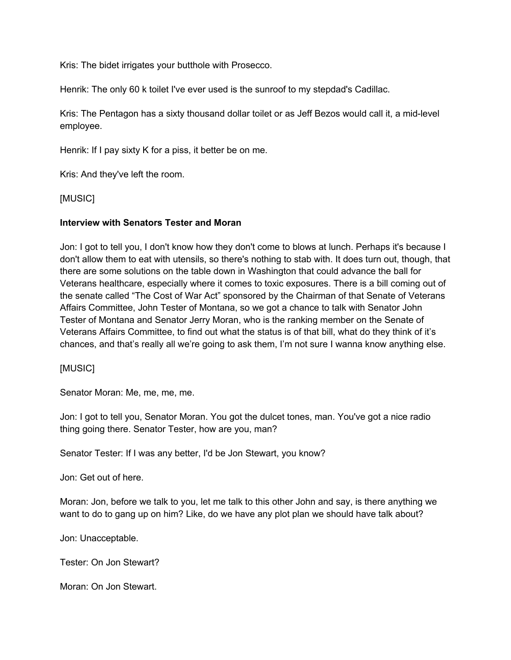Kris: The bidet irrigates your butthole with Prosecco.

Henrik: The only 60 k toilet I've ever used is the sunroof to my stepdad's Cadillac.

Kris: The Pentagon has a sixty thousand dollar toilet or as Jeff Bezos would call it, a mid-level employee.

Henrik: If I pay sixty K for a piss, it better be on me.

Kris: And they've left the room.

[MUSIC]

### **Interview with Senators Tester and Moran**

Jon: I got to tell you, I don't know how they don't come to blows at lunch. Perhaps it's because I don't allow them to eat with utensils, so there's nothing to stab with. It does turn out, though, that there are some solutions on the table down in Washington that could advance the ball for Veterans healthcare, especially where it comes to toxic exposures. There is a bill coming out of the senate called "The Cost of War Act" sponsored by the Chairman of that Senate of Veterans Affairs Committee, John Tester of Montana, so we got a chance to talk with Senator John Tester of Montana and Senator Jerry Moran, who is the ranking member on the Senate of Veterans Affairs Committee, to find out what the status is of that bill, what do they think of it's chances, and that's really all we're going to ask them, I'm not sure I wanna know anything else.

[MUSIC]

Senator Moran: Me, me, me, me.

Jon: I got to tell you, Senator Moran. You got the dulcet tones, man. You've got a nice radio thing going there. Senator Tester, how are you, man?

Senator Tester: If I was any better, I'd be Jon Stewart, you know?

Jon: Get out of here.

Moran: Jon, before we talk to you, let me talk to this other John and say, is there anything we want to do to gang up on him? Like, do we have any plot plan we should have talk about?

Jon: Unacceptable.

Tester: On Jon Stewart?

Moran: On Jon Stewart.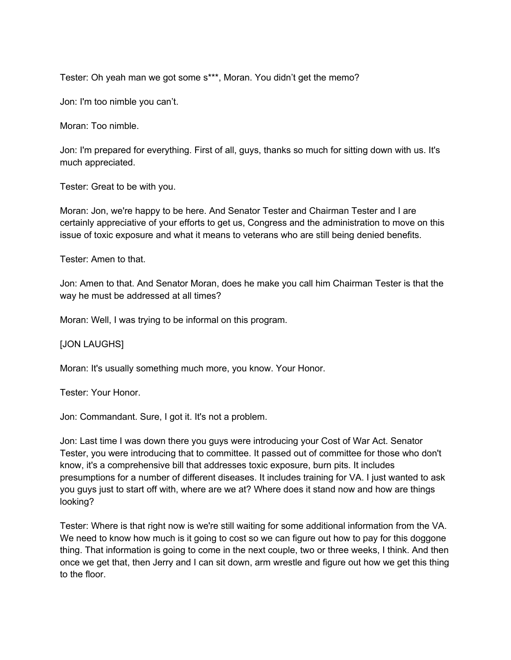Tester: Oh yeah man we got some s\*\*\*, Moran. You didn't get the memo?

Jon: I'm too nimble you can't.

Moran: Too nimble.

Jon: I'm prepared for everything. First of all, guys, thanks so much for sitting down with us. It's much appreciated.

Tester: Great to be with you.

Moran: Jon, we're happy to be here. And Senator Tester and Chairman Tester and I are certainly appreciative of your efforts to get us, Congress and the administration to move on this issue of toxic exposure and what it means to veterans who are still being denied benefits.

Tester: Amen to that.

Jon: Amen to that. And Senator Moran, does he make you call him Chairman Tester is that the way he must be addressed at all times?

Moran: Well, I was trying to be informal on this program.

[JON LAUGHS]

Moran: It's usually something much more, you know. Your Honor.

Tester: Your Honor.

Jon: Commandant. Sure, I got it. It's not a problem.

Jon: Last time I was down there you guys were introducing your Cost of War Act. Senator Tester, you were introducing that to committee. It passed out of committee for those who don't know, it's a comprehensive bill that addresses toxic exposure, burn pits. It includes presumptions for a number of different diseases. It includes training for VA. I just wanted to ask you guys just to start off with, where are we at? Where does it stand now and how are things looking?

Tester: Where is that right now is we're still waiting for some additional information from the VA. We need to know how much is it going to cost so we can figure out how to pay for this doggone thing. That information is going to come in the next couple, two or three weeks, I think. And then once we get that, then Jerry and I can sit down, arm wrestle and figure out how we get this thing to the floor.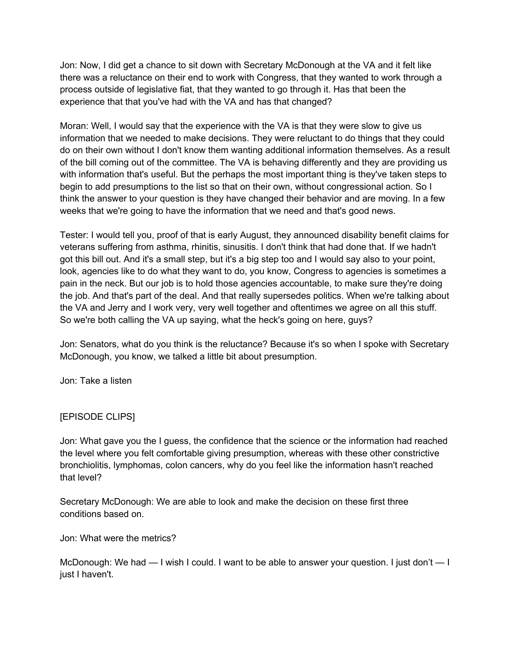Jon: Now, I did get a chance to sit down with Secretary McDonough at the VA and it felt like there was a reluctance on their end to work with Congress, that they wanted to work through a process outside of legislative fiat, that they wanted to go through it. Has that been the experience that that you've had with the VA and has that changed?

Moran: Well, I would say that the experience with the VA is that they were slow to give us information that we needed to make decisions. They were reluctant to do things that they could do on their own without I don't know them wanting additional information themselves. As a result of the bill coming out of the committee. The VA is behaving differently and they are providing us with information that's useful. But the perhaps the most important thing is they've taken steps to begin to add presumptions to the list so that on their own, without congressional action. So I think the answer to your question is they have changed their behavior and are moving. In a few weeks that we're going to have the information that we need and that's good news.

Tester: I would tell you, proof of that is early August, they announced disability benefit claims for veterans suffering from asthma, rhinitis, sinusitis. I don't think that had done that. If we hadn't got this bill out. And it's a small step, but it's a big step too and I would say also to your point, look, agencies like to do what they want to do, you know, Congress to agencies is sometimes a pain in the neck. But our job is to hold those agencies accountable, to make sure they're doing the job. And that's part of the deal. And that really supersedes politics. When we're talking about the VA and Jerry and I work very, very well together and oftentimes we agree on all this stuff. So we're both calling the VA up saying, what the heck's going on here, guys?

Jon: Senators, what do you think is the reluctance? Because it's so when I spoke with Secretary McDonough, you know, we talked a little bit about presumption.

Jon: Take a listen

## [EPISODE CLIPS]

Jon: What gave you the I guess, the confidence that the science or the information had reached the level where you felt comfortable giving presumption, whereas with these other constrictive bronchiolitis, lymphomas, colon cancers, why do you feel like the information hasn't reached that level?

Secretary McDonough: We are able to look and make the decision on these first three conditions based on.

Jon: What were the metrics?

McDonough: We had — I wish I could. I want to be able to answer your question. I just don't — I just I haven't.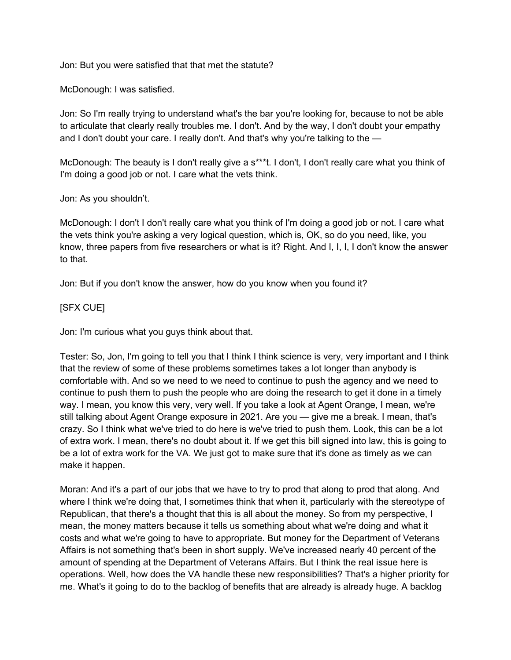Jon: But you were satisfied that that met the statute?

McDonough: I was satisfied.

Jon: So I'm really trying to understand what's the bar you're looking for, because to not be able to articulate that clearly really troubles me. I don't. And by the way, I don't doubt your empathy and I don't doubt your care. I really don't. And that's why you're talking to the —

McDonough: The beauty is I don't really give a s\*\*\*t. I don't, I don't really care what you think of I'm doing a good job or not. I care what the vets think.

Jon: As you shouldn't.

McDonough: I don't I don't really care what you think of I'm doing a good job or not. I care what the vets think you're asking a very logical question, which is, OK, so do you need, like, you know, three papers from five researchers or what is it? Right. And I, I, I, I don't know the answer to that.

Jon: But if you don't know the answer, how do you know when you found it?

### [SFX CUE]

Jon: I'm curious what you guys think about that.

Tester: So, Jon, I'm going to tell you that I think I think science is very, very important and I think that the review of some of these problems sometimes takes a lot longer than anybody is comfortable with. And so we need to we need to continue to push the agency and we need to continue to push them to push the people who are doing the research to get it done in a timely way. I mean, you know this very, very well. If you take a look at Agent Orange, I mean, we're still talking about Agent Orange exposure in 2021. Are you — give me a break. I mean, that's crazy. So I think what we've tried to do here is we've tried to push them. Look, this can be a lot of extra work. I mean, there's no doubt about it. If we get this bill signed into law, this is going to be a lot of extra work for the VA. We just got to make sure that it's done as timely as we can make it happen.

Moran: And it's a part of our jobs that we have to try to prod that along to prod that along. And where I think we're doing that, I sometimes think that when it, particularly with the stereotype of Republican, that there's a thought that this is all about the money. So from my perspective, I mean, the money matters because it tells us something about what we're doing and what it costs and what we're going to have to appropriate. But money for the Department of Veterans Affairs is not something that's been in short supply. We've increased nearly 40 percent of the amount of spending at the Department of Veterans Affairs. But I think the real issue here is operations. Well, how does the VA handle these new responsibilities? That's a higher priority for me. What's it going to do to the backlog of benefits that are already is already huge. A backlog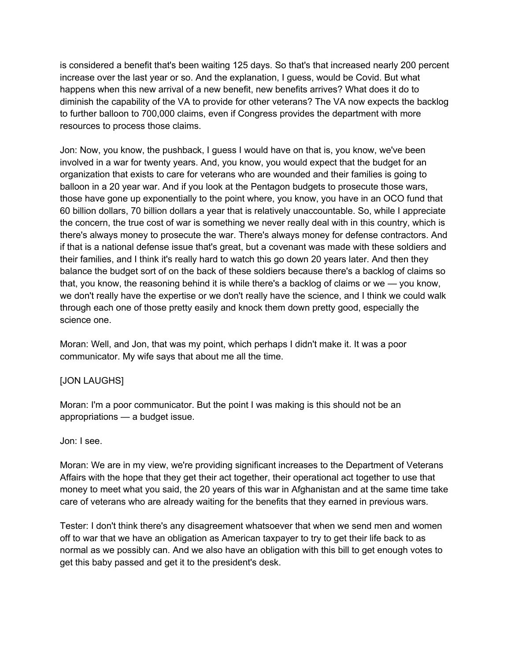is considered a benefit that's been waiting 125 days. So that's that increased nearly 200 percent increase over the last year or so. And the explanation, I guess, would be Covid. But what happens when this new arrival of a new benefit, new benefits arrives? What does it do to diminish the capability of the VA to provide for other veterans? The VA now expects the backlog to further balloon to 700,000 claims, even if Congress provides the department with more resources to process those claims.

Jon: Now, you know, the pushback, I guess I would have on that is, you know, we've been involved in a war for twenty years. And, you know, you would expect that the budget for an organization that exists to care for veterans who are wounded and their families is going to balloon in a 20 year war. And if you look at the Pentagon budgets to prosecute those wars, those have gone up exponentially to the point where, you know, you have in an OCO fund that 60 billion dollars, 70 billion dollars a year that is relatively unaccountable. So, while I appreciate the concern, the true cost of war is something we never really deal with in this country, which is there's always money to prosecute the war. There's always money for defense contractors. And if that is a national defense issue that's great, but a covenant was made with these soldiers and their families, and I think it's really hard to watch this go down 20 years later. And then they balance the budget sort of on the back of these soldiers because there's a backlog of claims so that, you know, the reasoning behind it is while there's a backlog of claims or we — you know, we don't really have the expertise or we don't really have the science, and I think we could walk through each one of those pretty easily and knock them down pretty good, especially the science one.

Moran: Well, and Jon, that was my point, which perhaps I didn't make it. It was a poor communicator. My wife says that about me all the time.

## [JON LAUGHS]

Moran: I'm a poor communicator. But the point I was making is this should not be an appropriations — a budget issue.

### Jon: I see.

Moran: We are in my view, we're providing significant increases to the Department of Veterans Affairs with the hope that they get their act together, their operational act together to use that money to meet what you said, the 20 years of this war in Afghanistan and at the same time take care of veterans who are already waiting for the benefits that they earned in previous wars.

Tester: I don't think there's any disagreement whatsoever that when we send men and women off to war that we have an obligation as American taxpayer to try to get their life back to as normal as we possibly can. And we also have an obligation with this bill to get enough votes to get this baby passed and get it to the president's desk.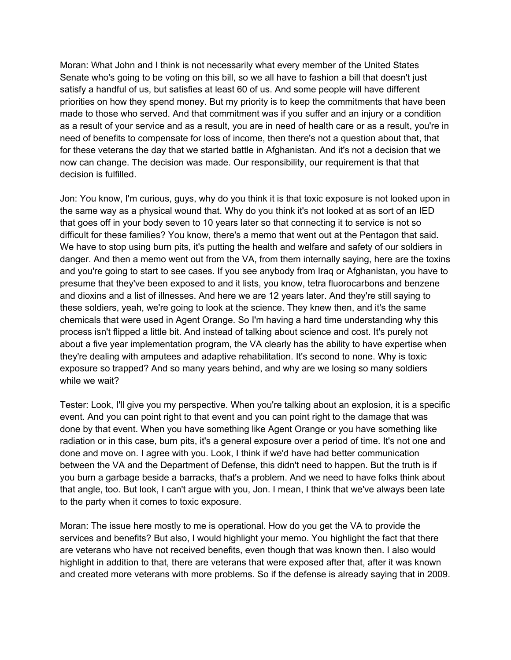Moran: What John and I think is not necessarily what every member of the United States Senate who's going to be voting on this bill, so we all have to fashion a bill that doesn't just satisfy a handful of us, but satisfies at least 60 of us. And some people will have different priorities on how they spend money. But my priority is to keep the commitments that have been made to those who served. And that commitment was if you suffer and an injury or a condition as a result of your service and as a result, you are in need of health care or as a result, you're in need of benefits to compensate for loss of income, then there's not a question about that, that for these veterans the day that we started battle in Afghanistan. And it's not a decision that we now can change. The decision was made. Our responsibility, our requirement is that that decision is fulfilled.

Jon: You know, I'm curious, guys, why do you think it is that toxic exposure is not looked upon in the same way as a physical wound that. Why do you think it's not looked at as sort of an IED that goes off in your body seven to 10 years later so that connecting it to service is not so difficult for these families? You know, there's a memo that went out at the Pentagon that said. We have to stop using burn pits, it's putting the health and welfare and safety of our soldiers in danger. And then a memo went out from the VA, from them internally saying, here are the toxins and you're going to start to see cases. If you see anybody from Iraq or Afghanistan, you have to presume that they've been exposed to and it lists, you know, tetra fluorocarbons and benzene and dioxins and a list of illnesses. And here we are 12 years later. And they're still saying to these soldiers, yeah, we're going to look at the science. They knew then, and it's the same chemicals that were used in Agent Orange. So I'm having a hard time understanding why this process isn't flipped a little bit. And instead of talking about science and cost. It's purely not about a five year implementation program, the VA clearly has the ability to have expertise when they're dealing with amputees and adaptive rehabilitation. It's second to none. Why is toxic exposure so trapped? And so many years behind, and why are we losing so many soldiers while we wait?

Tester: Look, I'll give you my perspective. When you're talking about an explosion, it is a specific event. And you can point right to that event and you can point right to the damage that was done by that event. When you have something like Agent Orange or you have something like radiation or in this case, burn pits, it's a general exposure over a period of time. It's not one and done and move on. I agree with you. Look, I think if we'd have had better communication between the VA and the Department of Defense, this didn't need to happen. But the truth is if you burn a garbage beside a barracks, that's a problem. And we need to have folks think about that angle, too. But look, I can't argue with you, Jon. I mean, I think that we've always been late to the party when it comes to toxic exposure.

Moran: The issue here mostly to me is operational. How do you get the VA to provide the services and benefits? But also, I would highlight your memo. You highlight the fact that there are veterans who have not received benefits, even though that was known then. I also would highlight in addition to that, there are veterans that were exposed after that, after it was known and created more veterans with more problems. So if the defense is already saying that in 2009.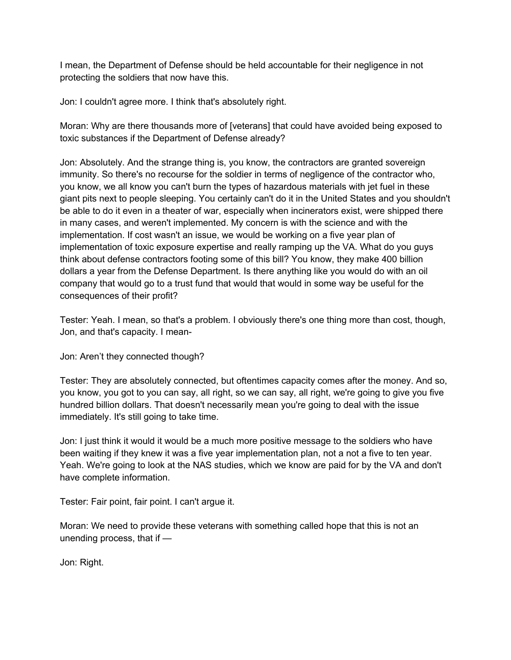I mean, the Department of Defense should be held accountable for their negligence in not protecting the soldiers that now have this.

Jon: I couldn't agree more. I think that's absolutely right.

Moran: Why are there thousands more of [veterans] that could have avoided being exposed to toxic substances if the Department of Defense already?

Jon: Absolutely. And the strange thing is, you know, the contractors are granted sovereign immunity. So there's no recourse for the soldier in terms of negligence of the contractor who, you know, we all know you can't burn the types of hazardous materials with jet fuel in these giant pits next to people sleeping. You certainly can't do it in the United States and you shouldn't be able to do it even in a theater of war, especially when incinerators exist, were shipped there in many cases, and weren't implemented. My concern is with the science and with the implementation. If cost wasn't an issue, we would be working on a five year plan of implementation of toxic exposure expertise and really ramping up the VA. What do you guys think about defense contractors footing some of this bill? You know, they make 400 billion dollars a year from the Defense Department. Is there anything like you would do with an oil company that would go to a trust fund that would that would in some way be useful for the consequences of their profit?

Tester: Yeah. I mean, so that's a problem. I obviously there's one thing more than cost, though, Jon, and that's capacity. I mean-

Jon: Aren't they connected though?

Tester: They are absolutely connected, but oftentimes capacity comes after the money. And so, you know, you got to you can say, all right, so we can say, all right, we're going to give you five hundred billion dollars. That doesn't necessarily mean you're going to deal with the issue immediately. It's still going to take time.

Jon: I just think it would it would be a much more positive message to the soldiers who have been waiting if they knew it was a five year implementation plan, not a not a five to ten year. Yeah. We're going to look at the NAS studies, which we know are paid for by the VA and don't have complete information.

Tester: Fair point, fair point. I can't argue it.

Moran: We need to provide these veterans with something called hope that this is not an unending process, that if —

Jon: Right.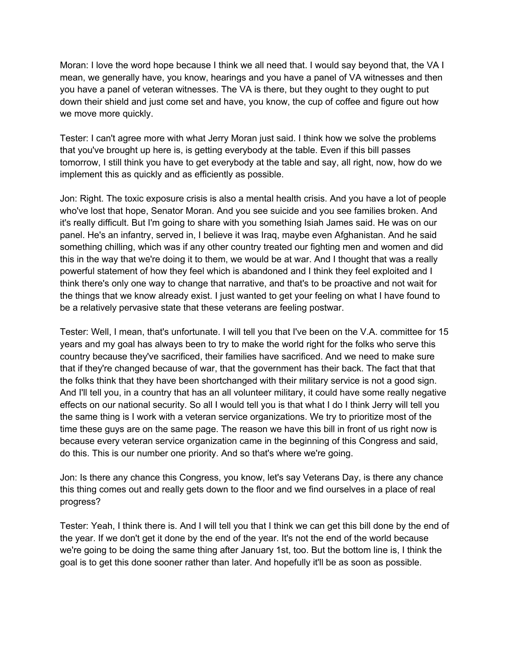Moran: I love the word hope because I think we all need that. I would say beyond that, the VA I mean, we generally have, you know, hearings and you have a panel of VA witnesses and then you have a panel of veteran witnesses. The VA is there, but they ought to they ought to put down their shield and just come set and have, you know, the cup of coffee and figure out how we move more quickly.

Tester: I can't agree more with what Jerry Moran just said. I think how we solve the problems that you've brought up here is, is getting everybody at the table. Even if this bill passes tomorrow, I still think you have to get everybody at the table and say, all right, now, how do we implement this as quickly and as efficiently as possible.

Jon: Right. The toxic exposure crisis is also a mental health crisis. And you have a lot of people who've lost that hope, Senator Moran. And you see suicide and you see families broken. And it's really difficult. But I'm going to share with you something Isiah James said. He was on our panel. He's an infantry, served in, I believe it was Iraq, maybe even Afghanistan. And he said something chilling, which was if any other country treated our fighting men and women and did this in the way that we're doing it to them, we would be at war. And I thought that was a really powerful statement of how they feel which is abandoned and I think they feel exploited and I think there's only one way to change that narrative, and that's to be proactive and not wait for the things that we know already exist. I just wanted to get your feeling on what I have found to be a relatively pervasive state that these veterans are feeling postwar.

Tester: Well, I mean, that's unfortunate. I will tell you that I've been on the V.A. committee for 15 years and my goal has always been to try to make the world right for the folks who serve this country because they've sacrificed, their families have sacrificed. And we need to make sure that if they're changed because of war, that the government has their back. The fact that that the folks think that they have been shortchanged with their military service is not a good sign. And I'll tell you, in a country that has an all volunteer military, it could have some really negative effects on our national security. So all I would tell you is that what I do I think Jerry will tell you the same thing is I work with a veteran service organizations. We try to prioritize most of the time these guys are on the same page. The reason we have this bill in front of us right now is because every veteran service organization came in the beginning of this Congress and said, do this. This is our number one priority. And so that's where we're going.

Jon: Is there any chance this Congress, you know, let's say Veterans Day, is there any chance this thing comes out and really gets down to the floor and we find ourselves in a place of real progress?

Tester: Yeah, I think there is. And I will tell you that I think we can get this bill done by the end of the year. If we don't get it done by the end of the year. It's not the end of the world because we're going to be doing the same thing after January 1st, too. But the bottom line is, I think the goal is to get this done sooner rather than later. And hopefully it'll be as soon as possible.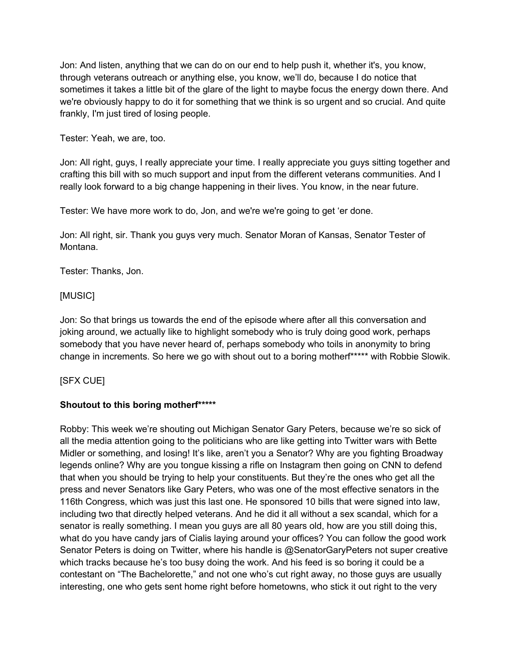Jon: And listen, anything that we can do on our end to help push it, whether it's, you know, through veterans outreach or anything else, you know, we'll do, because I do notice that sometimes it takes a little bit of the glare of the light to maybe focus the energy down there. And we're obviously happy to do it for something that we think is so urgent and so crucial. And quite frankly, I'm just tired of losing people.

Tester: Yeah, we are, too.

Jon: All right, guys, I really appreciate your time. I really appreciate you guys sitting together and crafting this bill with so much support and input from the different veterans communities. And I really look forward to a big change happening in their lives. You know, in the near future.

Tester: We have more work to do, Jon, and we're we're going to get 'er done.

Jon: All right, sir. Thank you guys very much. Senator Moran of Kansas, Senator Tester of Montana.

Tester: Thanks, Jon.

## [MUSIC]

Jon: So that brings us towards the end of the episode where after all this conversation and joking around, we actually like to highlight somebody who is truly doing good work, perhaps somebody that you have never heard of, perhaps somebody who toils in anonymity to bring change in increments. So here we go with shout out to a boring motherf\*\*\*\*\* with Robbie Slowik.

[SFX CUE]

## **Shoutout to this boring motherf\*\*\*\*\***

Robby: This week we're shouting out Michigan Senator Gary Peters, because we're so sick of all the media attention going to the politicians who are like getting into Twitter wars with Bette Midler or something, and losing! It's like, aren't you a Senator? Why are you fighting Broadway legends online? Why are you tongue kissing a rifle on Instagram then going on CNN to defend that when you should be trying to help your constituents. But they're the ones who get all the press and never Senators like Gary Peters, who was one of the most effective senators in the 116th Congress, which was just this last one. He sponsored 10 bills that were signed into law, including two that directly helped veterans. And he did it all without a sex scandal, which for a senator is really something. I mean you guys are all 80 years old, how are you still doing this, what do you have candy jars of Cialis laying around your offices? You can follow the good work Senator Peters is doing on Twitter, where his handle is @SenatorGaryPeters not super creative which tracks because he's too busy doing the work. And his feed is so boring it could be a contestant on "The Bachelorette," and not one who's cut right away, no those guys are usually interesting, one who gets sent home right before hometowns, who stick it out right to the very